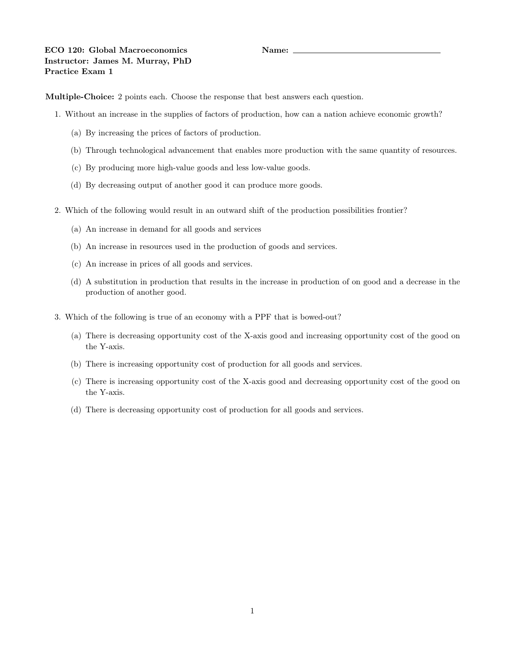Multiple-Choice: 2 points each. Choose the response that best answers each question.

- 1. Without an increase in the supplies of factors of production, how can a nation achieve economic growth?
	- (a) By increasing the prices of factors of production.
	- (b) Through technological advancement that enables more production with the same quantity of resources.
	- (c) By producing more high-value goods and less low-value goods.
	- (d) By decreasing output of another good it can produce more goods.
- 2. Which of the following would result in an outward shift of the production possibilities frontier?
	- (a) An increase in demand for all goods and services
	- (b) An increase in resources used in the production of goods and services.
	- (c) An increase in prices of all goods and services.
	- (d) A substitution in production that results in the increase in production of on good and a decrease in the production of another good.
- 3. Which of the following is true of an economy with a PPF that is bowed-out?
	- (a) There is decreasing opportunity cost of the X-axis good and increasing opportunity cost of the good on the Y-axis.
	- (b) There is increasing opportunity cost of production for all goods and services.
	- (c) There is increasing opportunity cost of the X-axis good and decreasing opportunity cost of the good on the Y-axis.
	- (d) There is decreasing opportunity cost of production for all goods and services.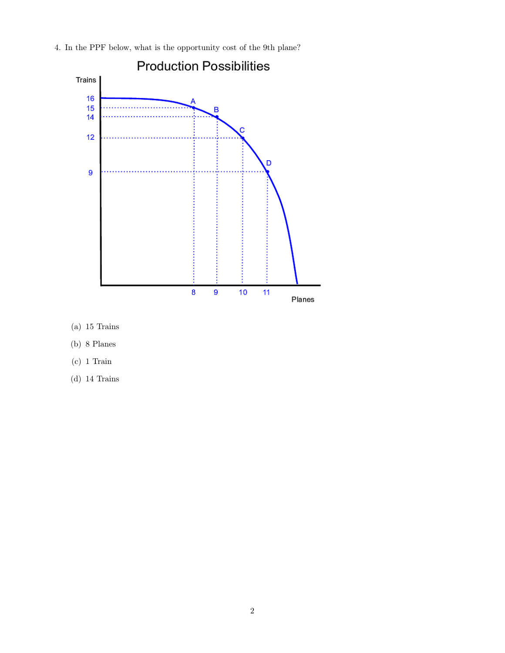

4. In the PPF below, what is the opportunity cost of the 9th plane?

- (a) 15 Trains
- (b) 8 Planes
- (c) 1 Train
- (d) 14 Trains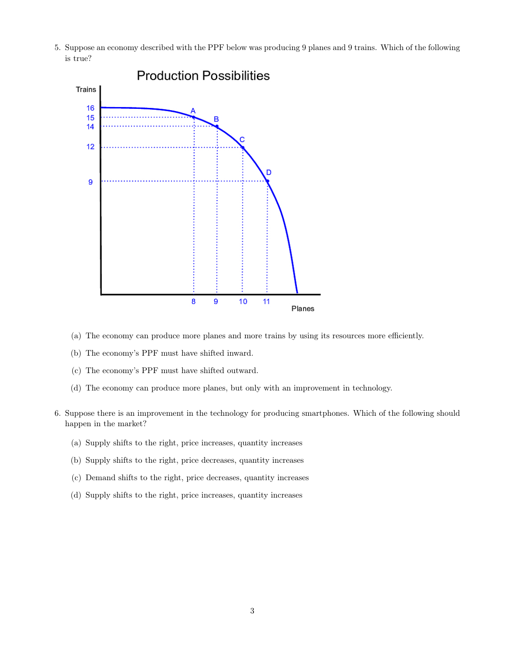5. Suppose an economy described with the PPF below was producing 9 planes and 9 trains. Which of the following is true?



- (a) The economy can produce more planes and more trains by using its resources more efficiently.
- (b) The economy's PPF must have shifted inward.
- (c) The economy's PPF must have shifted outward.
- (d) The economy can produce more planes, but only with an improvement in technology.
- 6. Suppose there is an improvement in the technology for producing smartphones. Which of the following should happen in the market?
	- (a) Supply shifts to the right, price increases, quantity increases
	- (b) Supply shifts to the right, price decreases, quantity increases
	- (c) Demand shifts to the right, price decreases, quantity increases
	- (d) Supply shifts to the right, price increases, quantity increases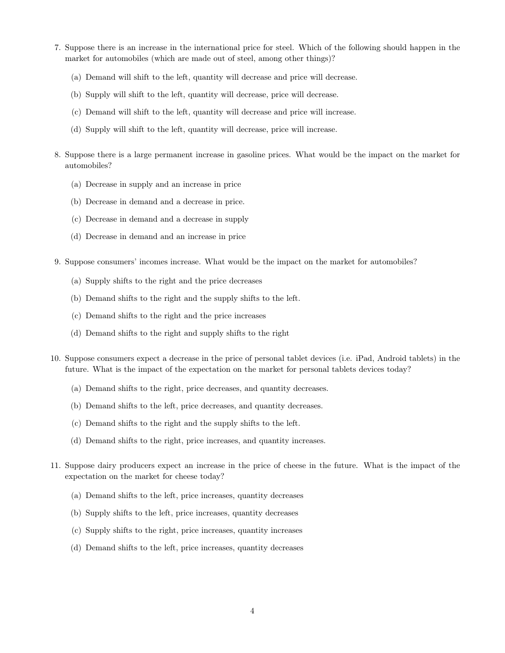- 7. Suppose there is an increase in the international price for steel. Which of the following should happen in the market for automobiles (which are made out of steel, among other things)?
	- (a) Demand will shift to the left, quantity will decrease and price will decrease.
	- (b) Supply will shift to the left, quantity will decrease, price will decrease.
	- (c) Demand will shift to the left, quantity will decrease and price will increase.
	- (d) Supply will shift to the left, quantity will decrease, price will increase.
- 8. Suppose there is a large permanent increase in gasoline prices. What would be the impact on the market for automobiles?
	- (a) Decrease in supply and an increase in price
	- (b) Decrease in demand and a decrease in price.
	- (c) Decrease in demand and a decrease in supply
	- (d) Decrease in demand and an increase in price
- 9. Suppose consumers' incomes increase. What would be the impact on the market for automobiles?
	- (a) Supply shifts to the right and the price decreases
	- (b) Demand shifts to the right and the supply shifts to the left.
	- (c) Demand shifts to the right and the price increases
	- (d) Demand shifts to the right and supply shifts to the right
- 10. Suppose consumers expect a decrease in the price of personal tablet devices (i.e. iPad, Android tablets) in the future. What is the impact of the expectation on the market for personal tablets devices today?
	- (a) Demand shifts to the right, price decreases, and quantity decreases.
	- (b) Demand shifts to the left, price decreases, and quantity decreases.
	- (c) Demand shifts to the right and the supply shifts to the left.
	- (d) Demand shifts to the right, price increases, and quantity increases.
- 11. Suppose dairy producers expect an increase in the price of cheese in the future. What is the impact of the expectation on the market for cheese today?
	- (a) Demand shifts to the left, price increases, quantity decreases
	- (b) Supply shifts to the left, price increases, quantity decreases
	- (c) Supply shifts to the right, price increases, quantity increases
	- (d) Demand shifts to the left, price increases, quantity decreases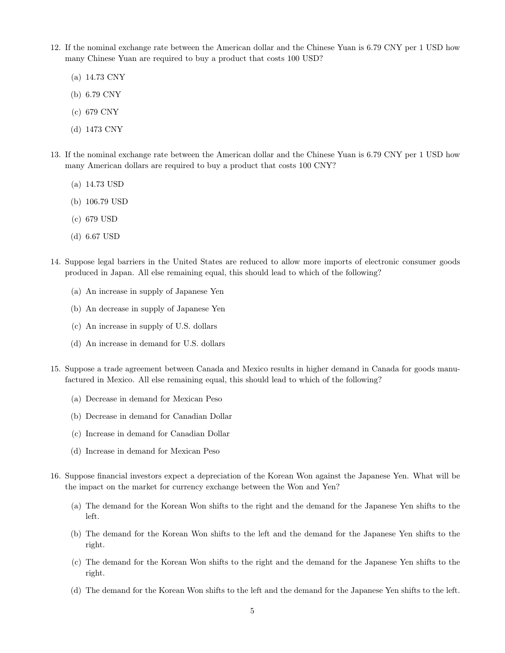- 12. If the nominal exchange rate between the American dollar and the Chinese Yuan is 6.79 CNY per 1 USD how many Chinese Yuan are required to buy a product that costs 100 USD?
	- (a) 14.73 CNY
	- (b) 6.79 CNY
	- (c) 679 CNY
	- (d) 1473 CNY
- 13. If the nominal exchange rate between the American dollar and the Chinese Yuan is 6.79 CNY per 1 USD how many American dollars are required to buy a product that costs 100 CNY?
	- (a) 14.73 USD
	- (b) 106.79 USD
	- (c) 679 USD
	- (d) 6.67 USD
- 14. Suppose legal barriers in the United States are reduced to allow more imports of electronic consumer goods produced in Japan. All else remaining equal, this should lead to which of the following?
	- (a) An increase in supply of Japanese Yen
	- (b) An decrease in supply of Japanese Yen
	- (c) An increase in supply of U.S. dollars
	- (d) An increase in demand for U.S. dollars
- 15. Suppose a trade agreement between Canada and Mexico results in higher demand in Canada for goods manufactured in Mexico. All else remaining equal, this should lead to which of the following?
	- (a) Decrease in demand for Mexican Peso
	- (b) Decrease in demand for Canadian Dollar
	- (c) Increase in demand for Canadian Dollar
	- (d) Increase in demand for Mexican Peso
- 16. Suppose financial investors expect a depreciation of the Korean Won against the Japanese Yen. What will be the impact on the market for currency exchange between the Won and Yen?
	- (a) The demand for the Korean Won shifts to the right and the demand for the Japanese Yen shifts to the left.
	- (b) The demand for the Korean Won shifts to the left and the demand for the Japanese Yen shifts to the right.
	- (c) The demand for the Korean Won shifts to the right and the demand for the Japanese Yen shifts to the right.
	- (d) The demand for the Korean Won shifts to the left and the demand for the Japanese Yen shifts to the left.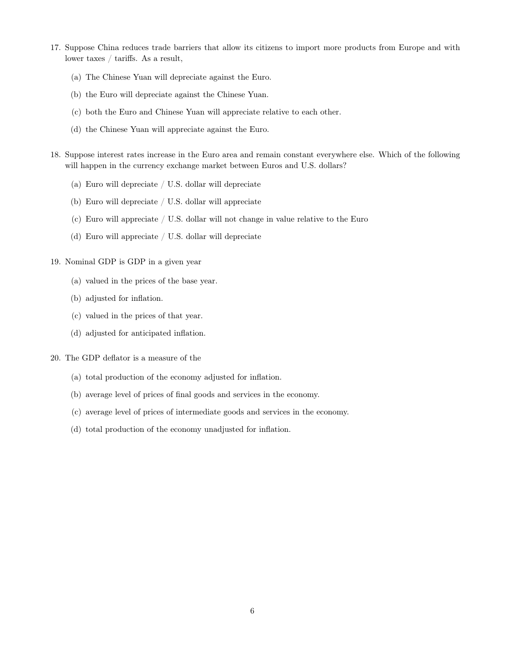- 17. Suppose China reduces trade barriers that allow its citizens to import more products from Europe and with lower taxes / tariffs. As a result,
	- (a) The Chinese Yuan will depreciate against the Euro.
	- (b) the Euro will depreciate against the Chinese Yuan.
	- (c) both the Euro and Chinese Yuan will appreciate relative to each other.
	- (d) the Chinese Yuan will appreciate against the Euro.
- 18. Suppose interest rates increase in the Euro area and remain constant everywhere else. Which of the following will happen in the currency exchange market between Euros and U.S. dollars?
	- (a) Euro will depreciate / U.S. dollar will depreciate
	- (b) Euro will depreciate / U.S. dollar will appreciate
	- (c) Euro will appreciate / U.S. dollar will not change in value relative to the Euro
	- (d) Euro will appreciate / U.S. dollar will depreciate

## 19. Nominal GDP is GDP in a given year

- (a) valued in the prices of the base year.
- (b) adjusted for inflation.
- (c) valued in the prices of that year.
- (d) adjusted for anticipated inflation.

20. The GDP deflator is a measure of the

- (a) total production of the economy adjusted for inflation.
- (b) average level of prices of final goods and services in the economy.
- (c) average level of prices of intermediate goods and services in the economy.
- (d) total production of the economy unadjusted for inflation.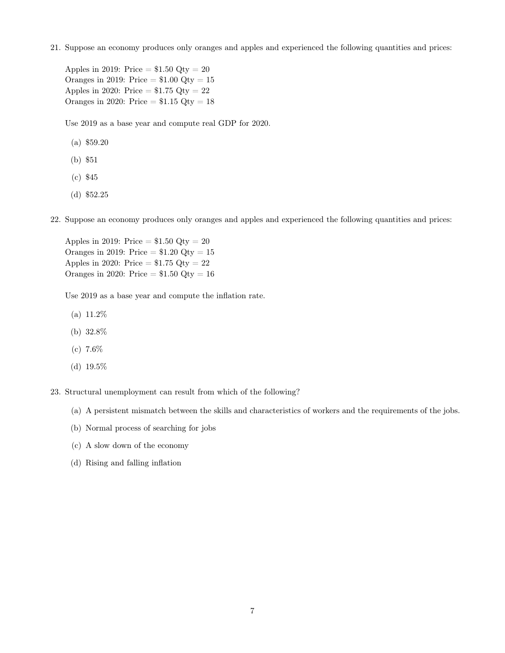21. Suppose an economy produces only oranges and apples and experienced the following quantities and prices:

Apples in 2019: Price  $= $1.50 \text{ Qty} = 20$ Oranges in 2019: Price  $= $1.00$  Qty  $= 15$ Apples in 2020: Price  $= $1.75$  Qty  $= 22$ Oranges in 2020: Price  $= $1.15$  Qty  $= 18$ 

Use 2019 as a base year and compute real GDP for 2020.

- (a) \$59.20
- (b) \$51
- (c) \$45
- (d) \$52.25

22. Suppose an economy produces only oranges and apples and experienced the following quantities and prices:

Apples in 2019: Price  $= $1.50 \text{ Qty} = 20$ Oranges in 2019: Price  $= $1.20$  Qty  $= 15$ Apples in 2020: Price  $= $1.75$  Qty  $= 22$ Oranges in 2020: Price  $= $1.50$  Qty  $= 16$ 

Use 2019 as a base year and compute the inflation rate.

- (a) 11.2%
- (b) 32.8%
- (c) 7.6%
- (d) 19.5%

23. Structural unemployment can result from which of the following?

- (a) A persistent mismatch between the skills and characteristics of workers and the requirements of the jobs.
- (b) Normal process of searching for jobs
- (c) A slow down of the economy
- (d) Rising and falling inflation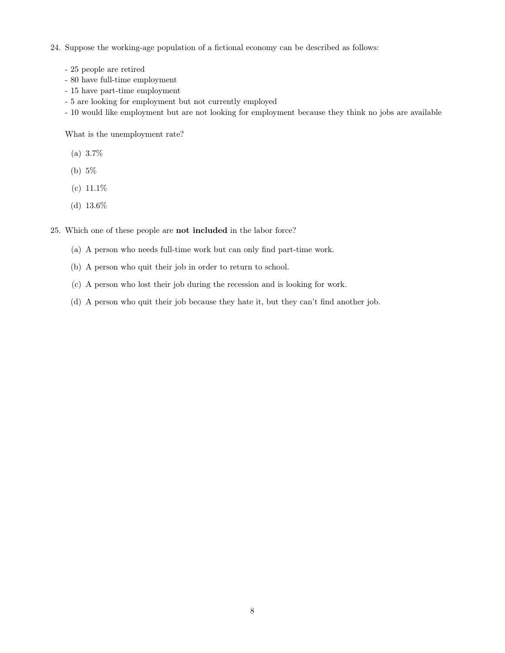24. Suppose the working-age population of a fictional economy can be described as follows:

- 25 people are retired
- 80 have full-time employment
- 15 have part-time employment
- 5 are looking for employment but not currently employed
- 10 would like employment but are not looking for employment because they think no jobs are available

What is the unemployment rate?

- (a) 3.7%
- (b) 5%
- $(c) 11.1\%$
- (d) 13.6%

25. Which one of these people are not included in the labor force?

- (a) A person who needs full-time work but can only find part-time work.
- (b) A person who quit their job in order to return to school.
- (c) A person who lost their job during the recession and is looking for work.
- (d) A person who quit their job because they hate it, but they can't find another job.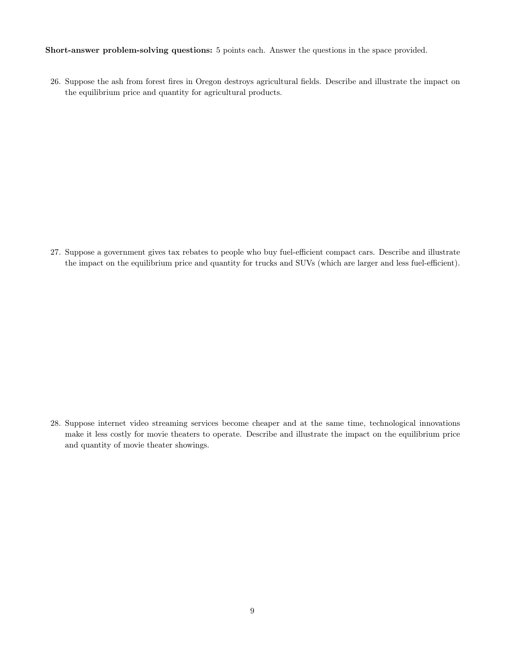Short-answer problem-solving questions: 5 points each. Answer the questions in the space provided.

26. Suppose the ash from forest fires in Oregon destroys agricultural fields. Describe and illustrate the impact on the equilibrium price and quantity for agricultural products.

27. Suppose a government gives tax rebates to people who buy fuel-efficient compact cars. Describe and illustrate the impact on the equilibrium price and quantity for trucks and SUVs (which are larger and less fuel-efficient).

28. Suppose internet video streaming services become cheaper and at the same time, technological innovations make it less costly for movie theaters to operate. Describe and illustrate the impact on the equilibrium price and quantity of movie theater showings.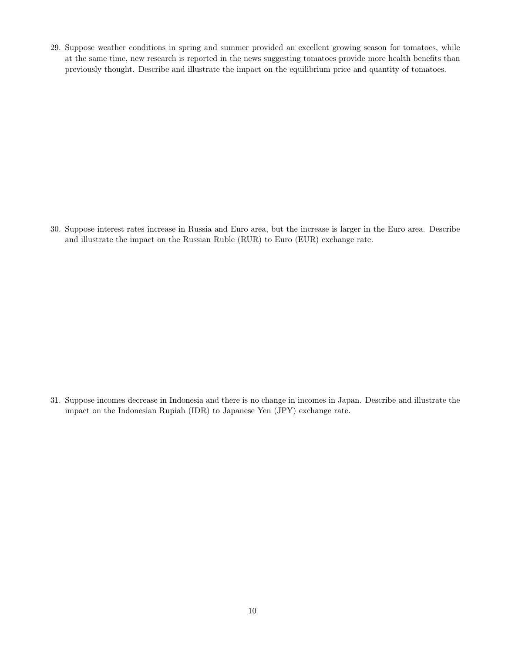29. Suppose weather conditions in spring and summer provided an excellent growing season for tomatoes, while at the same time, new research is reported in the news suggesting tomatoes provide more health benefits than previously thought. Describe and illustrate the impact on the equilibrium price and quantity of tomatoes.

30. Suppose interest rates increase in Russia and Euro area, but the increase is larger in the Euro area. Describe and illustrate the impact on the Russian Ruble (RUR) to Euro (EUR) exchange rate.

31. Suppose incomes decrease in Indonesia and there is no change in incomes in Japan. Describe and illustrate the impact on the Indonesian Rupiah (IDR) to Japanese Yen (JPY) exchange rate.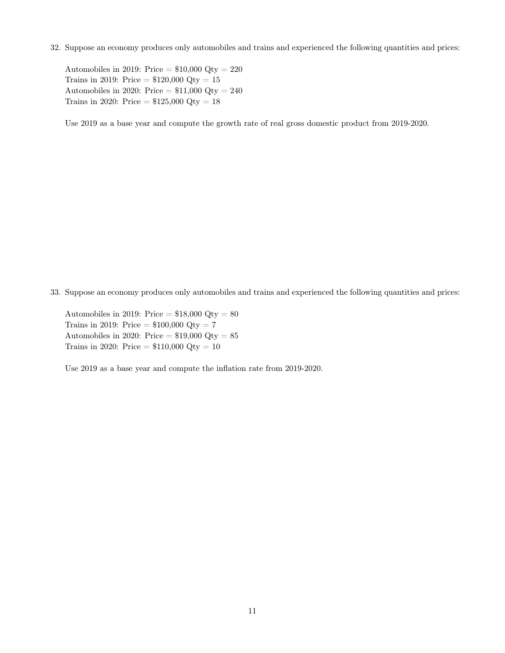32. Suppose an economy produces only automobiles and trains and experienced the following quantities and prices:

Automobiles in 2019: Price  $= $10,000$  Qty  $= 220$ Trains in 2019: Price  $= $120,000$  Qty  $= 15$ Automobiles in 2020: Price  $= $11,000$  Qty  $= 240$ Trains in 2020: Price =  $$125,000$  Qty = 18

Use 2019 as a base year and compute the growth rate of real gross domestic product from 2019-2020.

33. Suppose an economy produces only automobiles and trains and experienced the following quantities and prices:

Automobiles in 2019: Price  $= $18,000$  Qty  $= 80$ Trains in 2019: Price =  $$100,000$  Qty = 7 Automobiles in 2020: Price  $= $19,000$  Qty  $= 85$ Trains in 2020: Price =  $$110,000$  Qty = 10

Use 2019 as a base year and compute the inflation rate from 2019-2020.